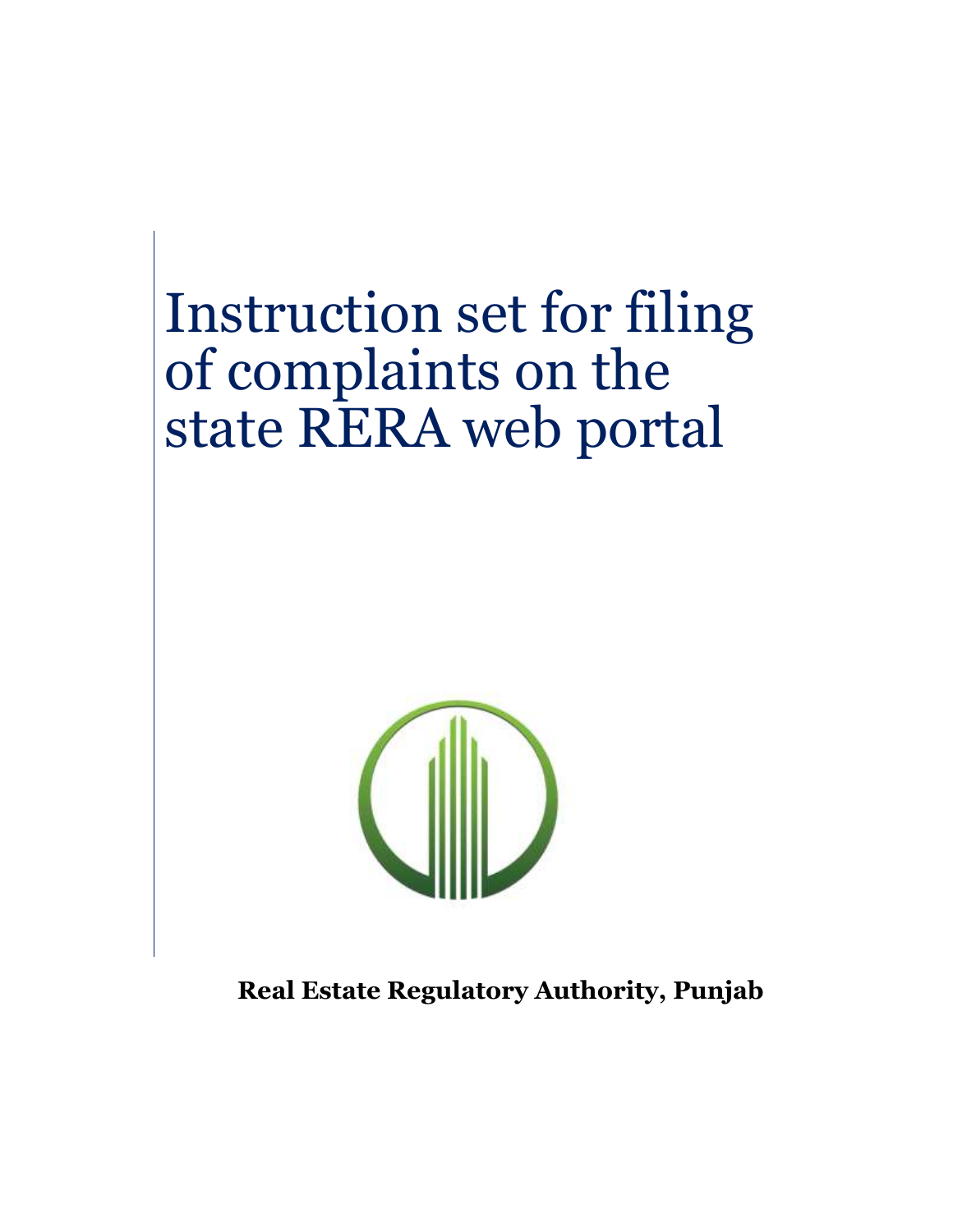# Instruction set for filing of complaints on the state RERA web portal



**Real Estate Regulatory Authority, Punjab**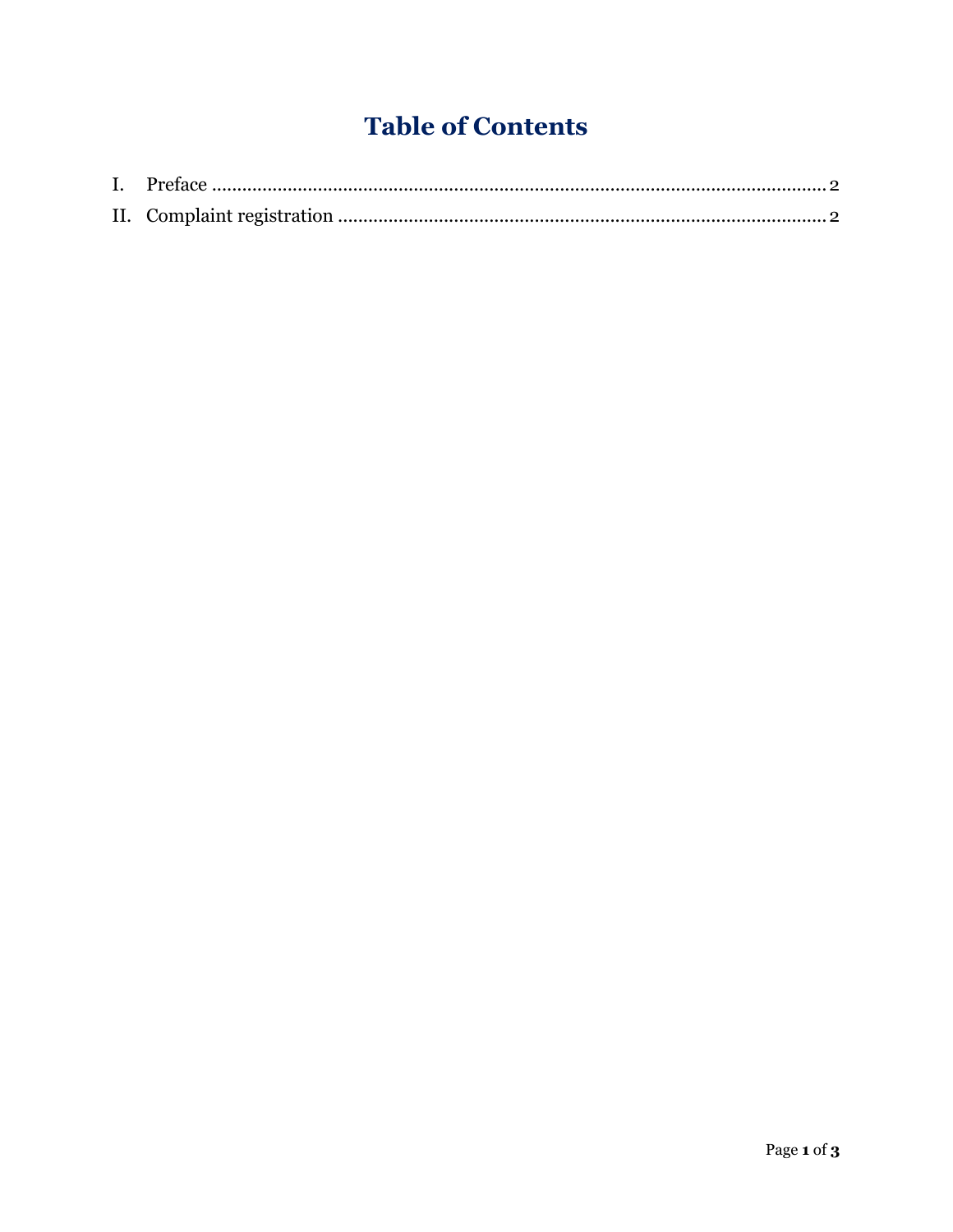# **Table of Contents**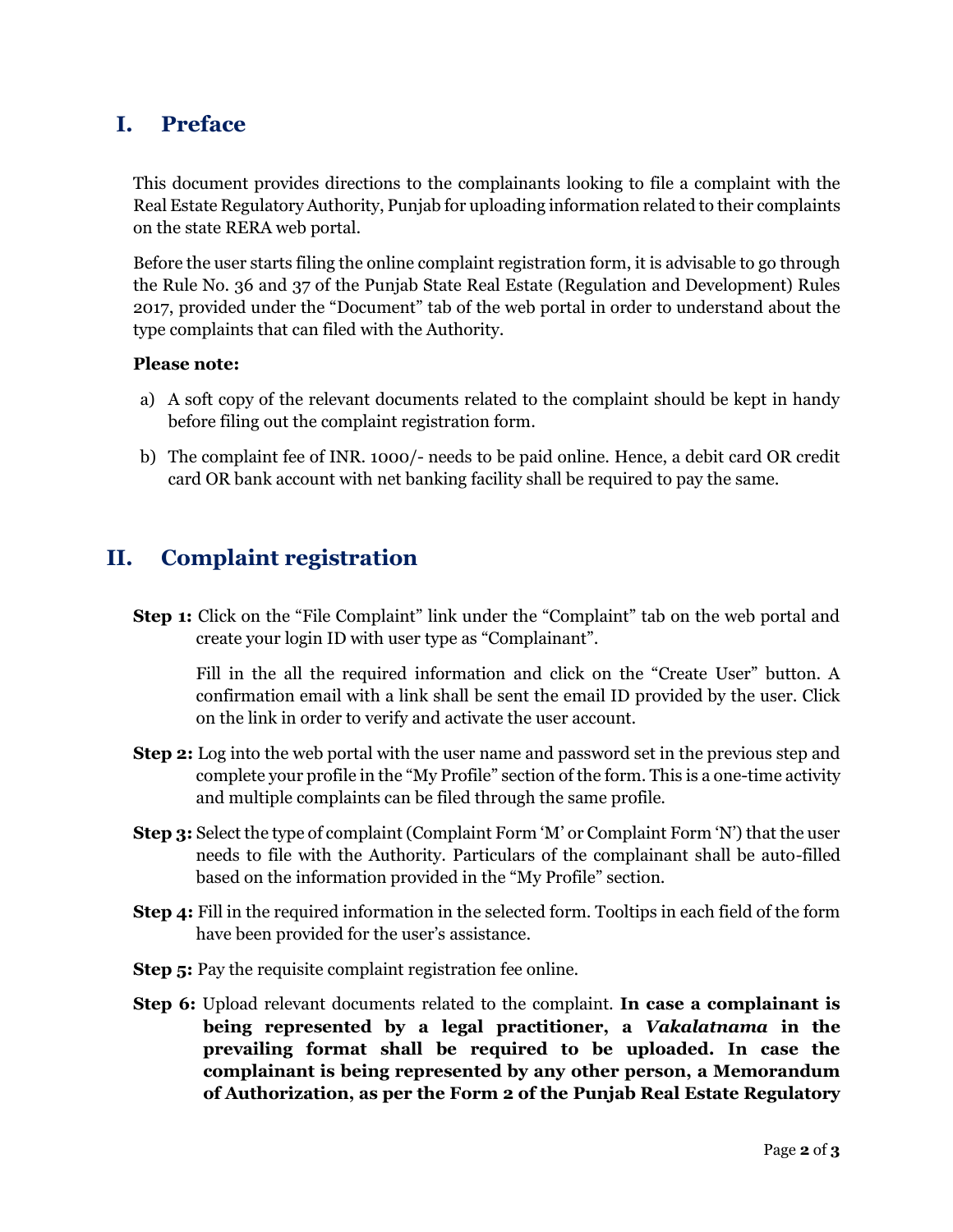## <span id="page-2-0"></span>**I. Preface**

This document provides directions to the complainants looking to file a complaint with the Real Estate Regulatory Authority, Punjab for uploading information related to their complaints on the state RERA web portal.

Before the user starts filing the online complaint registration form, it is advisable to go through the Rule No. 36 and 37 of the Punjab State Real Estate (Regulation and Development) Rules 2017, provided under the "Document" tab of the web portal in order to understand about the type complaints that can filed with the Authority.

#### **Please note:**

- a) A soft copy of the relevant documents related to the complaint should be kept in handy before filing out the complaint registration form.
- b) The complaint fee of INR. 1000/- needs to be paid online. Hence, a debit card OR credit card OR bank account with net banking facility shall be required to pay the same.

# <span id="page-2-1"></span>**II. Complaint registration**

**Step 1:** Click on the "File Complaint" link under the "Complaint" tab on the web portal and create your login ID with user type as "Complainant".

Fill in the all the required information and click on the "Create User" button. A confirmation email with a link shall be sent the email ID provided by the user. Click on the link in order to verify and activate the user account.

- **Step 2:** Log into the web portal with the user name and password set in the previous step and complete your profile in the "My Profile" section of the form. This is a one-time activity and multiple complaints can be filed through the same profile.
- **Step 3:** Select the type of complaint (Complaint Form 'M' or Complaint Form 'N') that the user needs to file with the Authority. Particulars of the complainant shall be auto-filled based on the information provided in the "My Profile" section.
- **Step 4:** Fill in the required information in the selected form. Tooltips in each field of the form have been provided for the user's assistance.
- **Step 5:** Pay the requisite complaint registration fee online.
- **Step 6:** Upload relevant documents related to the complaint. **In case a complainant is being represented by a legal practitioner, a** *Vakalatnama* **in the prevailing format shall be required to be uploaded. In case the complainant is being represented by any other person, a Memorandum of Authorization, as per the Form 2 of the Punjab Real Estate Regulatory**